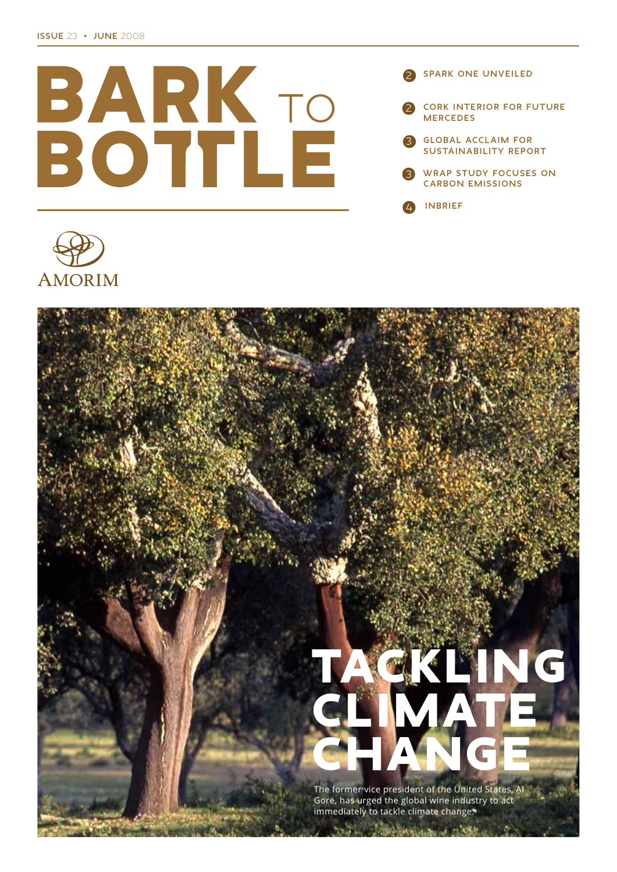

**SPARK ONE UNVEILED CORK INTERIOR FOR FUTURE MERCEDES GLOBAL ACCLAIM FOR SUSTAINABILITY REPORT** 



**INBRIEF** 



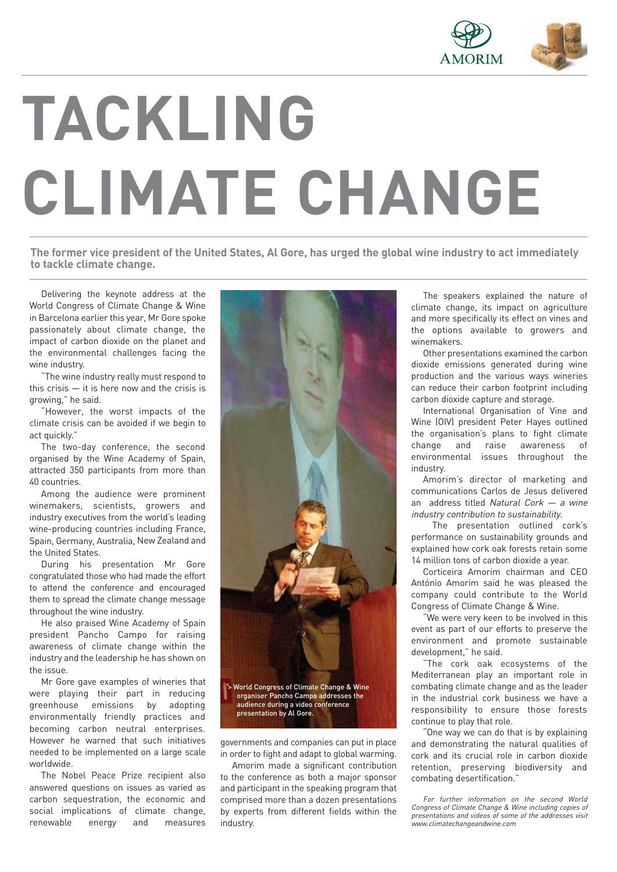

# **TACKLING CLIMATE CHANGE**

The former vice president of the United States, Al Gore, has urged the global wine industry to act immediately **to tackle climate change.**

Delivering the keynote address at the World Congress of Climate Change & Wine in Barcelona earlier this year, Mr Gore spoke passionately about climate change, the impact of carbon dioxide on the planet and the environmental challenges facing the wine industry.

"The wine industry really must respond to this crisis  $-$  it is here now and the crisis is growing," he said.

"However, the worst impacts of the climate crisis can be avoided if we begin to act quickly."

The two-day conference, the second organised by the Wine Academy of Spain, attracted 350 participants from more than 40 countries.

Among the audience were prominent winemakers, scientists, growers and industry executives from the world's leading wine-producing countries including France, Spain, Germany, Australia, New Zealand and the United States.

During his presentation Mr Gore congratulated those who had made the effort to attend the conference and encouraged them to spread the climate change message throughout the wine industry.

He also praised Wine Academy of Spain president Pancho Campo for raising awareness of climate change within the industry and the leadership he has shown on the issue.

Mr Gore gave examples of wineries that were playing their part in reducing greenhouse emissions by adopting environmentally friendly practices and becoming carbon neutral enterprises. However he warned that such initiatives needed to be implemented on a large scale worldwide.

The Nobel Peace Prize recipient also answered questions on issues as varied as carbon sequestration, the economic and social implications of climate change, renewable energy and measures



governments and companies can put in place in order to fight and adapt to global warming.

Amorim made a significant contribution to the conference as both a major sponsor and participant in the speaking program that comprised more than a dozen presentations by experts from different fields within the industry.

The speakers explained the nature of climate change, its impact on agriculture and more specifically its effect on vines and the options available to growers and winemakers.

Other presentations examined the carbon dioxide emissions generated during wine production and the various ways wineries can reduce their carbon footprint including carbon dioxide capture and storage.

International Organisation of Vine and Wine (OIV) president Peter Hayes outlined the organisation's plans to fight climate change and raise awareness of environmental issues throughout the industry.

Amorim's director of marketing and communications Carlos de Jesus delivered an address titled Natural Cork  $-$  a wine industry contribution to sustainability.

The presentation outlined cork's performance on sustainability grounds and explained how cork oak forests retain some 14 million tons of carbon dioxide a year.

Corticeira Amorim chairman and CEO António Amorim said he was pleased the company could contribute to the World Congress of Climate Change & Wine.

"We were very keen to be involved in this event as part of our efforts to preserve the environment and promote sustainable development," he said.

"The cork oak ecosystems of the Mediterranean play an important role in combating climate change and as the leader in the industrial cork business we have a responsibility to ensure those forests continue to play that role.

"One way we can do that is by explaining and demonstrating the natural qualities of cork and its crucial role in carbon dioxide retention, preserving biodiversity and combating desertification."

For further information on the second World Congress of Climate Change & Wine including copies of presentations and videos of some of the addresses visit www.climatechangeandwine.com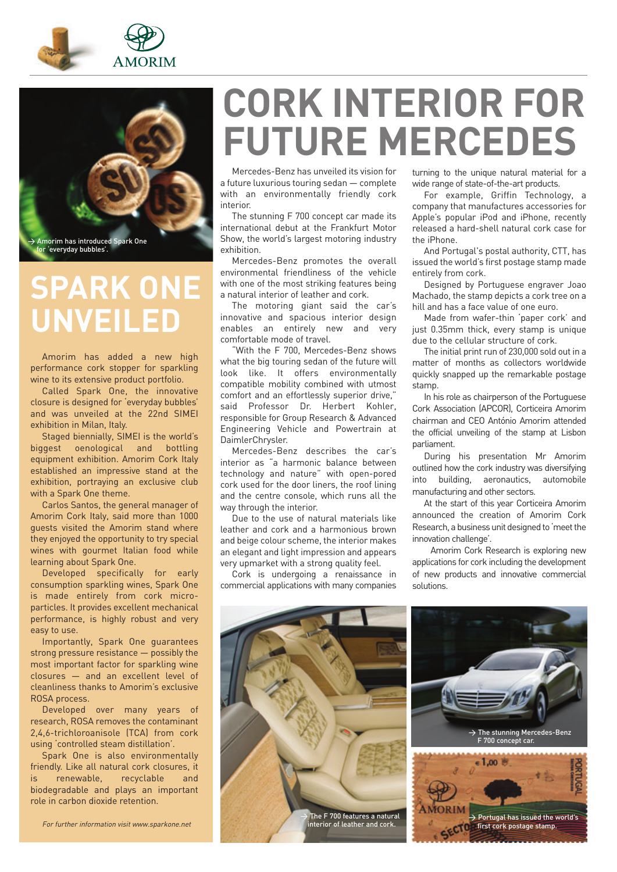



# **SPARK ONE UNVEILED**

Amorim has added a new high performance cork stopper for sparkling wine to its extensive product portfolio.

Called Spark One, the innovative closure is designed for 'everyday bubbles' and was unveiled at the 22nd SIMEI exhibition in Milan, Italy.

Staged biennially, SIMEI is the world's biggest oenological and bottling equipment exhibition. Amorim Cork Italy established an impressive stand at the exhibition, portraying an exclusive club with a Spark One theme.

Carlos Santos, the general manager of Amorim Cork Italy, said more than 1000 guests visited the Amorim stand where they enjoyed the opportunity to try special wines with gourmet Italian food while learning about Spark One.

Developed specifically for early consumption sparkling wines, Spark One is made entirely from cork microparticles. It provides excellent mechanical performance, is highly robust and very easy to use.

Importantly, Spark One guarantees strong pressure resistance — possibly the most important factor for sparkling wine closures — and an excellent level of cleanliness thanks to Amorim's exclusive ROSA process.

Developed over many years of research, ROSA removes the contaminant 2,4,6-trichloroanisole (TCA) from cork using 'controlled steam distillation'.

Spark One is also environmentally friendly. Like all natural cork closures, it renewable, recyclable and biodegradable and plays an important role in carbon dioxide retention.

# **CORK INTERIOR FOR FUTURE MERCEDES**

Mercedes-Benz has unveiled its vision for a future luxurious touring sedan — complete with an environmentally friendly cork interior.

The stunning F 700 concept car made its international debut at the Frankfurt Motor Show, the world's largest motoring industry exhibition.

Mercedes-Benz promotes the overall environmental friendliness of the vehicle with one of the most striking features being a natural interior of leather and cork.

The motoring giant said the car's innovative and spacious interior design enables an entirely new and very comfortable mode of travel.

"With the F 700, Mercedes-Benz shows what the big touring sedan of the future will look like. It offers environmentally compatible mobility combined with utmost comfort and an effortlessly superior drive," said Professor Dr. Herbert Kohler, responsible for Group Research & Advanced Engineering Vehicle and Powertrain at DaimlerChrysler.

Mercedes-Benz describes the car's interior as "a harmonic balance between technology and nature" with open-pored cork used for the door liners, the roof lining and the centre console, which runs all the way through the interior.

Due to the use of natural materials like leather and cork and a harmonious brown and beige colour scheme, the interior makes an elegant and light impression and appears very upmarket with a strong quality feel.

Cork is undergoing a renaissance in commercial applications with many companies turning to the unique natural material for a wide range of state-of-the-art products.

For example, Griffin Technology, a company that manufactures accessories for Apple's popular iPod and iPhone, recently released a hard-shell natural cork case for the iPhone.

And Portugal's postal authority, CTT, has issued the world's first postage stamp made entirely from cork.

Designed by Portuguese engraver Joao Machado, the stamp depicts a cork tree on a hill and has a face value of one euro.

Made from wafer-thin 'paper cork' and just 0.35mm thick, every stamp is unique due to the cellular structure of cork.

The initial print run of 230,000 sold out in a matter of months as collectors worldwide quickly snapped up the remarkable postage stamp.

In his role as chairperson of the Portuguese Cork Association (APCOR), Corticeira Amorim chairman and CEO António Amorim attended the official unveiling of the stamp at Lisbon parliament.

During his presentation Mr Amorim outlined how the cork industry was diversifying into building, aeronautics, automobile manufacturing and other sectors.

At the start of this year Corticeira Amorim announced the creation of Amorim Cork Research, a business unit designed to 'meet the innovation challenge'.

Amorim Cork Research is exploring new applications for cork including the development of new products and innovative commercial solutions.

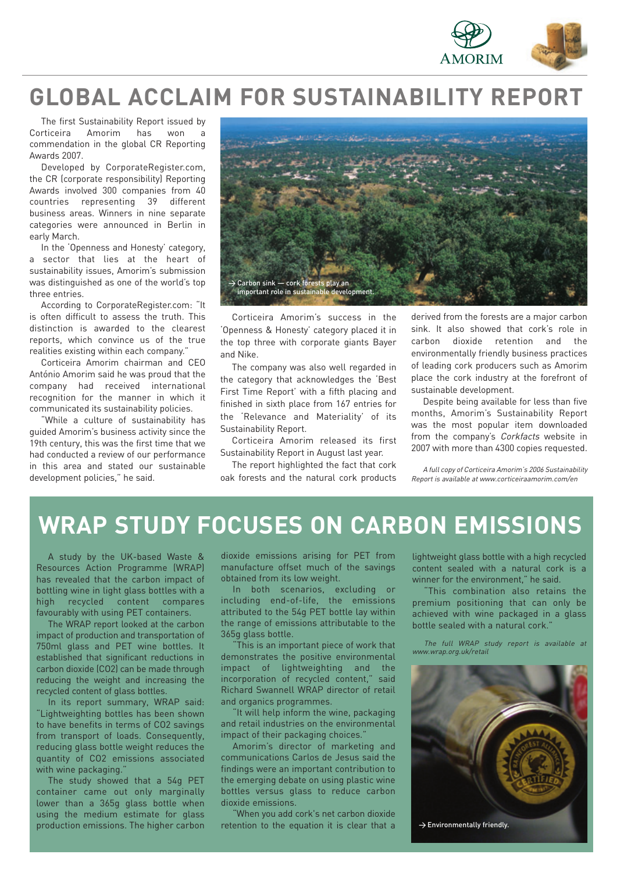

## **GLOBAL ACCLAIM FOR SUSTAINABILITY REPORT**

The first Sustainability Report issued by Corticeira Amorim has won commendation in the global CR Reporting Awards 2007.

Developed by CorporateRegister.com, the CR (corporate responsibility) Reporting Awards involved 300 companies from 40 countries representing 39 different business areas. Winners in nine separate categories were announced in Berlin in early March.

In the 'Openness and Honesty' category, a sector that lies at the heart of sustainability issues, Amorim's submission was distinguished as one of the world's top three entries.

According to CorporateRegister.com: "It is often difficult to assess the truth. This distinction is awarded to the clearest reports, which convince us of the true realities existing within each company."

Corticeira Amorim chairman and CEO António Amorim said he was proud that the company had received international recognition for the manner in which it communicated its sustainability policies.

"While a culture of sustainability has guided Amorim's business activity since the 19th century, this was the first time that we had conducted a review of our performance in this area and stated our sustainable development policies," he said.



Corticeira Amorim's success in the 'Openness & Honesty' category placed it in the top three with corporate giants Bayer and Nike.

The company was also well regarded in the category that acknowledges the 'Best First Time Report' with a fifth placing and finished in sixth place from 167 entries for the 'Relevance and Materiality' of its Sustainability Report.

Corticeira Amorim released its first Sustainability Report in August last year.

The report highlighted the fact that cork oak forests and the natural cork products

derived from the forests are a major carbon sink. It also showed that cork's role in carbon dioxide retention and the environmentally friendly business practices of leading cork producers such as Amorim place the cork industry at the forefront of sustainable development.

Despite being available for less than five months, Amorim's Sustainability Report was the most popular item downloaded from the company's Corkfacts website in 2007 with more than 4300 copies requested.

A full copy of Corticeira Amorim's 2006 Sustainability Report is available at www.corticeiraamorim.com/en

## **WRAP STUDY FOCUSES ON CARBON EMISSIONS**

A study by the UK-based Waste & Resources Action Programme (WRAP) has revealed that the carbon impact of bottling wine in light glass bottles with a high recycled content compares favourably with using PET containers.

The WRAP report looked at the carbon impact of production and transportation of 750ml glass and PET wine bottles. It established that significant reductions in carbon dioxide (CO2) can be made through reducing the weight and increasing the recycled content of glass bottles.

In its report summary, WRAP said: "Lightweighting bottles has been shown to have benefits in terms of CO2 savings from transport of loads. Consequently, reducing glass bottle weight reduces the quantity of CO2 emissions associated with wine packaging.'

The study showed that a 54g PET container came out only marginally lower than a 365g glass bottle when using the medium estimate for glass production emissions. The higher carbon

dioxide emissions arising for PET from manufacture offset much of the savings obtained from its low weight.

In both scenarios, excluding or including end-of-life, the emissions attributed to the 54g PET bottle lay within the range of emissions attributable to the 365g glass bottle.

This is an important piece of work that demonstrates the positive environmental impact of lightweighting and the incorporation of recycled content," said Richard Swannell WRAP director of retail and organics programmes.

"It will help inform the wine, packaging and retail industries on the environmental impact of their packaging choices.

Amorim's director of marketing and communications Carlos de Jesus said the findings were an important contribution to the emerging debate on using plastic wine bottles versus glass to reduce carbon dioxide emissions.

"When you add cork's net carbon dioxide retention to the equation it is clear that a

lightweight glass bottle with a high recycled content sealed with a natural cork is a winner for the environment," he said.

This combination also retains the premium positioning that can only be achieved with wine packaged in a glass bottle sealed with a natural cork."

The full WRAP study report is available at www.wrap.org.uk/retail